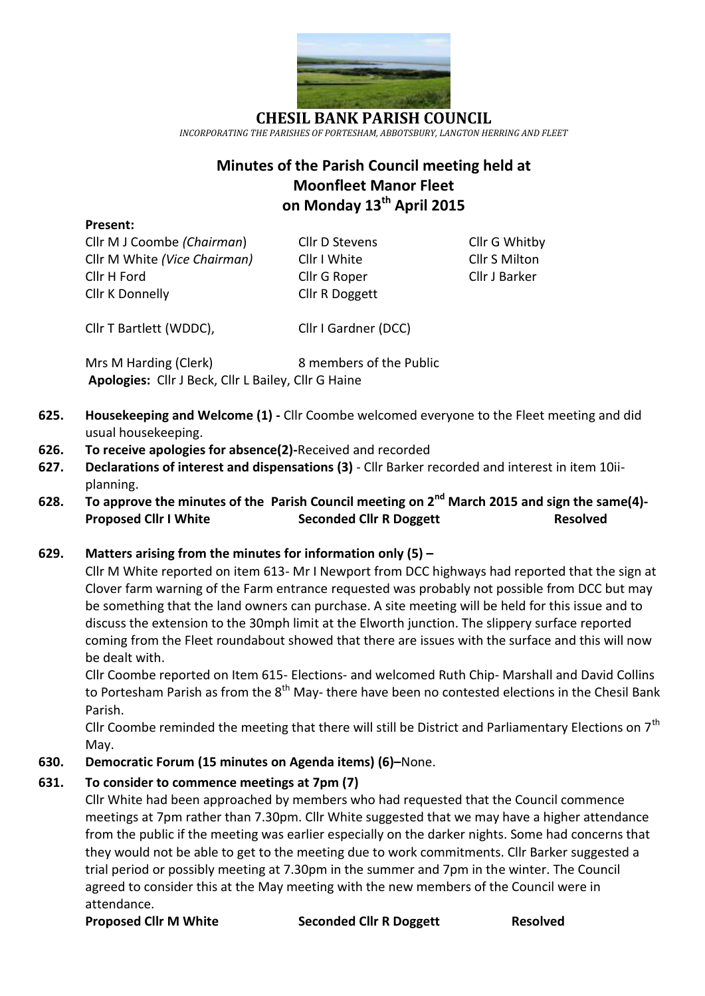

**CHESIL BANK PARISH COUNCIL** *INCORPORATING THE PARISHES OF PORTESHAM, ABBOTSBURY, LANGTON HERRING AND FLEET*

# **Minutes of the Parish Council meeting held at Moonfleet Manor Fleet on Monday 13th April 2015**

#### **Present:**

Cllr M J Coombe *(Chairman*) Cllr D Stevens Cllr G Whitby Cllr M White *(Vice Chairman)* Cllr I White Cllr S Milton Cllr H Ford Cllr G Roper Cllr J Barker Cllr K Donnelly Cllr R Doggett

Cllr T Bartlett (WDDC), Cllr I Gardner (DCC)

Mrs M Harding (Clerk) 8 members of the Public **Apologies:** Cllr J Beck, Cllr L Bailey, Cllr G Haine

- **625. Housekeeping and Welcome (1) -** Cllr Coombe welcomed everyone to the Fleet meeting and did usual housekeeping.
- **626. To receive apologies for absence(2)-**Received and recorded
- **627. Declarations of interest and dispensations (3)** Cllr Barker recorded and interest in item 10iiplanning.
- **628. To approve the minutes of the Parish Council meeting on 2 nd March 2015 and sign the same(4)- Proposed Cllr I White Seconded Cllr R Doggett Resolved**

## **629. Matters arising from the minutes for information only (5) –**

Cllr M White reported on item 613- Mr I Newport from DCC highways had reported that the sign at Clover farm warning of the Farm entrance requested was probably not possible from DCC but may be something that the land owners can purchase. A site meeting will be held for this issue and to discuss the extension to the 30mph limit at the Elworth junction. The slippery surface reported coming from the Fleet roundabout showed that there are issues with the surface and this will now be dealt with.

Cllr Coombe reported on Item 615- Elections- and welcomed Ruth Chip- Marshall and David Collins to Portesham Parish as from the 8<sup>th</sup> May- there have been no contested elections in the Chesil Bank Parish.

Cllr Coombe reminded the meeting that there will still be District and Parliamentary Elections on  $7<sup>th</sup>$ May.

**630. Democratic Forum (15 minutes on Agenda items) (6)–**None.

## **631. To consider to commence meetings at 7pm (7)**

Cllr White had been approached by members who had requested that the Council commence meetings at 7pm rather than 7.30pm. Cllr White suggested that we may have a higher attendance from the public if the meeting was earlier especially on the darker nights. Some had concerns that they would not be able to get to the meeting due to work commitments. Cllr Barker suggested a trial period or possibly meeting at 7.30pm in the summer and 7pm in the winter. The Council agreed to consider this at the May meeting with the new members of the Council were in attendance.

**Proposed Cllr M White Seconded Cllr R Doggett Resolved**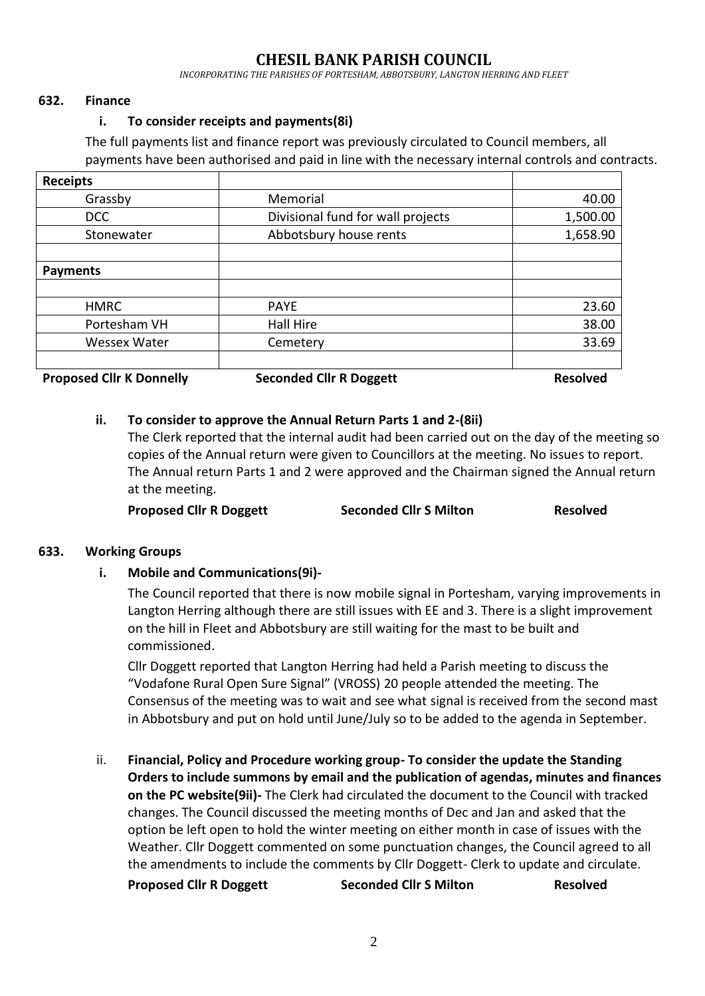## **CHESIL BANK PARISH COUNCIL**

*INCORPORATING THE PARISHES OF PORTESHAM, ABBOTSBURY, LANGTON HERRING AND FLEET*

#### **632. Finance**

#### **i. To consider receipts and payments(8i)**

The full payments list and finance report was previously circulated to Council members, all payments have been authorised and paid in line with the necessary internal controls and contracts.

| <b>Receipts</b>                 |                                   |                 |
|---------------------------------|-----------------------------------|-----------------|
| Grassby                         | Memorial                          | 40.00           |
| <b>DCC</b>                      | Divisional fund for wall projects | 1,500.00        |
| Stonewater                      | Abbotsbury house rents            | 1,658.90        |
|                                 |                                   |                 |
| <b>Payments</b>                 |                                   |                 |
|                                 |                                   |                 |
| <b>HMRC</b>                     | <b>PAYE</b>                       | 23.60           |
| Portesham VH                    | Hall Hire                         | 38.00           |
| <b>Wessex Water</b>             | Cemetery                          | 33.69           |
| <b>Proposed Cllr K Donnelly</b> | <b>Seconded Cllr R Doggett</b>    | <b>Resolved</b> |

#### **ii. To consider to approve the Annual Return Parts 1 and 2-(8ii)**

The Clerk reported that the internal audit had been carried out on the day of the meeting so copies of the Annual return were given to Councillors at the meeting. No issues to report. The Annual return Parts 1 and 2 were approved and the Chairman signed the Annual return at the meeting.

**Proposed Cllr R Doggett Seconded Cllr S Milton Resolved**

#### **633. Working Groups**

**i. Mobile and Communications(9i)-**

The Council reported that there is now mobile signal in Portesham, varying improvements in Langton Herring although there are still issues with EE and 3. There is a slight improvement on the hill in Fleet and Abbotsbury are still waiting for the mast to be built and commissioned.

Cllr Doggett reported that Langton Herring had held a Parish meeting to discuss the "Vodafone Rural Open Sure Signal" (VROSS) 20 people attended the meeting. The Consensus of the meeting was to wait and see what signal is received from the second mast in Abbotsbury and put on hold until June/July so to be added to the agenda in September.

ii. **Financial, Policy and Procedure working group- To consider the update the Standing Orders to include summons by email and the publication of agendas, minutes and finances on the PC website(9ii)-** The Clerk had circulated the document to the Council with tracked changes. The Council discussed the meeting months of Dec and Jan and asked that the option be left open to hold the winter meeting on either month in case of issues with the Weather. Cllr Doggett commented on some punctuation changes, the Council agreed to all the amendments to include the comments by Cllr Doggett- Clerk to update and circulate.

**Proposed Cllr R Doggett Seconded Cllr S Milton Resolved**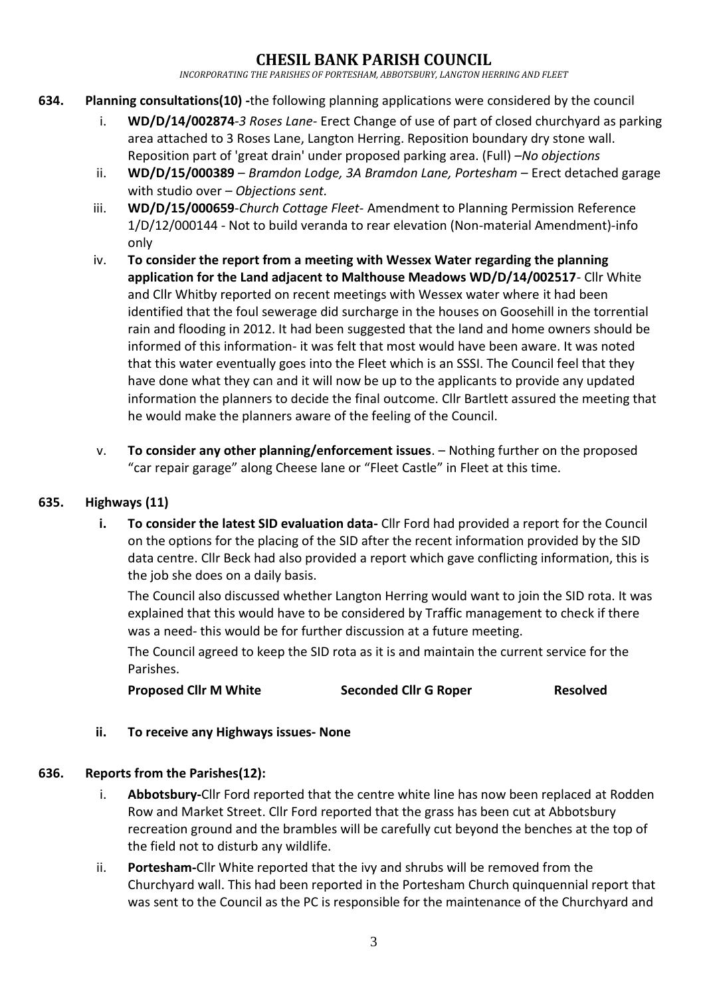## **CHESIL BANK PARISH COUNCIL**

*INCORPORATING THE PARISHES OF PORTESHAM, ABBOTSBURY, LANGTON HERRING AND FLEET*

- **634. Planning consultations(10) -**the following planning applications were considered by the council
	- i. **WD/D/14/002874***-3 Roses Lane-* Erect Change of use of part of closed churchyard as parking area attached to 3 Roses Lane, Langton Herring. Reposition boundary dry stone wall. Reposition part of 'great drain' under proposed parking area. (Full) –*No objections*
	- ii. **WD/D/15/000389** *Bramdon Lodge, 3A Bramdon Lane, Portesham* Erect detached garage with studio over *– Objections sent.*
	- iii. **WD/D/15/000659**-*Church Cottage Fleet* Amendment to Planning Permission Reference 1/D/12/000144 - Not to build veranda to rear elevation (Non-material Amendment)-info only
	- iv. **To consider the report from a meeting with Wessex Water regarding the planning application for the Land adjacent to Malthouse Meadows WD/D/14/002517**- Cllr White and Cllr Whitby reported on recent meetings with Wessex water where it had been identified that the foul sewerage did surcharge in the houses on Goosehill in the torrential rain and flooding in 2012. It had been suggested that the land and home owners should be informed of this information- it was felt that most would have been aware. It was noted that this water eventually goes into the Fleet which is an SSSI. The Council feel that they have done what they can and it will now be up to the applicants to provide any updated information the planners to decide the final outcome. Cllr Bartlett assured the meeting that he would make the planners aware of the feeling of the Council.
	- v. **To consider any other planning/enforcement issues**. Nothing further on the proposed "car repair garage" along Cheese lane or "Fleet Castle" in Fleet at this time.

## **635. Highways (11)**

**i. To consider the latest SID evaluation data-** Cllr Ford had provided a report for the Council on the options for the placing of the SID after the recent information provided by the SID data centre. Cllr Beck had also provided a report which gave conflicting information, this is the job she does on a daily basis.

The Council also discussed whether Langton Herring would want to join the SID rota. It was explained that this would have to be considered by Traffic management to check if there was a need- this would be for further discussion at a future meeting.

The Council agreed to keep the SID rota as it is and maintain the current service for the Parishes.

**Proposed Cllr M White Seconded Cllr G Roper Resolved**

## **ii. To receive any Highways issues- None**

## **636. Reports from the Parishes(12):**

- i. **Abbotsbury-**Cllr Ford reported that the centre white line has now been replaced at Rodden Row and Market Street. Cllr Ford reported that the grass has been cut at Abbotsbury recreation ground and the brambles will be carefully cut beyond the benches at the top of the field not to disturb any wildlife.
- ii. **Portesham-**Cllr White reported that the ivy and shrubs will be removed from the Churchyard wall. This had been reported in the Portesham Church quinquennial report that was sent to the Council as the PC is responsible for the maintenance of the Churchyard and